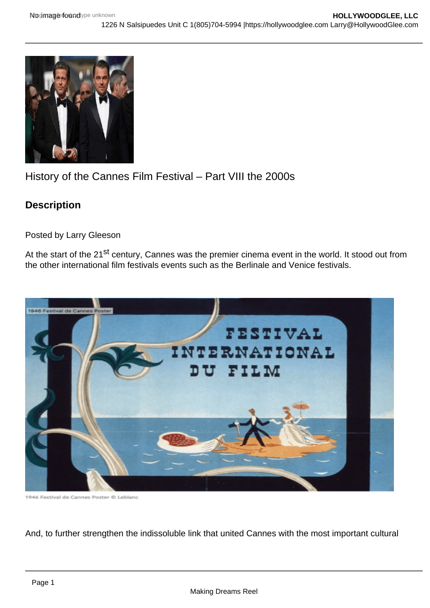## History of the Cannes Film Festival – Part VIII the 2000s

**Description** 

Posted by Larry Gleeson

At the start of the 21<sup>st</sup> century, Cannes was the premier cinema event in the world. It stood out from the other international film festivals events such as the Berlinale and Venice festivals.

And, to further strengthen the indissoluble link that united Cannes with the most important cultural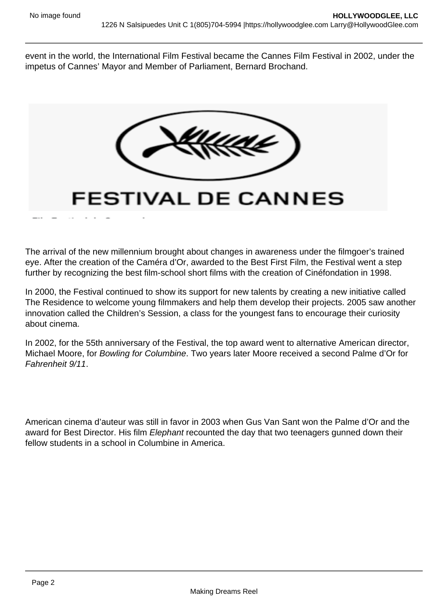event in the world, the International Film Festival became the Cannes Film Festival in 2002, under the impetus of Cannes' Mayor and Member of Parliament, Bernard Brochand.

The arrival of the new millennium brought about changes in awareness under the filmgoer's trained eye. After the creation of the Caméra d'Or, awarded to the Best First Film, the Festival went a step further by recognizing the best film-school short films with the creation of Cinéfondation in 1998.

In 2000, the Festival continued to show its support for new talents by creating a new initiative called The Residence to welcome young filmmakers and help them develop their projects. 2005 saw another innovation called the Children's Session, a class for the youngest fans to encourage their curiosity about cinema.

In 2002, for the 55th anniversary of the Festival, the top award went to alternative American director, Michael Moore, for Bowling for Columbine. Two years later Moore received a second Palme d'Or for Fahrenheit 9/11.

American cinema d'auteur was still in favor in 2003 when Gus Van Sant won the Palme d'Or and the award for Best Director. His film Elephant recounted the day that two teenagers gunned down their fellow students in a school in Columbine in America.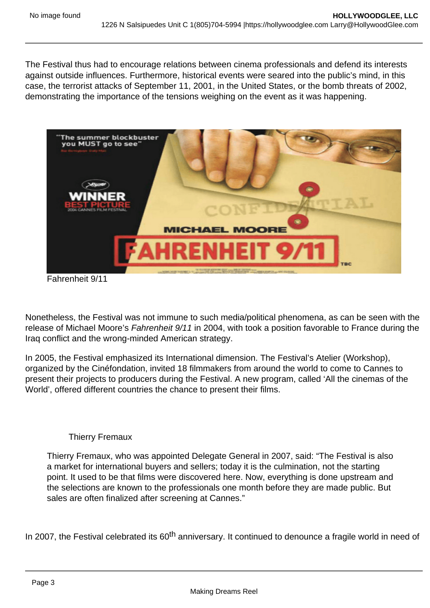The Festival thus had to encourage relations between cinema professionals and defend its interests against outside influences. Furthermore, historical events were seared into the public's mind, in this case, the terrorist attacks of September 11, 2001, in the United States, or the bomb threats of 2002, demonstrating the importance of the tensions weighing on the event as it was happening.

Fahrenheit 9/11

Nonetheless, the Festival was not immune to such media/political phenomena, as can be seen with the release of Michael Moore's Fahrenheit 9/11 in 2004, with took a position favorable to France during the Iraq conflict and the wrong-minded American strategy.

In 2005, the Festival emphasized its International dimension. The Festival's Atelier (Workshop), organized by the Cinéfondation, invited 18 filmmakers from around the world to come to Cannes to present their projects to producers during the Festival. A new program, called 'All the cinemas of the World', offered different countries the chance to present their films.

## Thierry Fremaux

Thierry Fremaux, who was appointed Delegate General in 2007, said: "The Festival is also a market for international buyers and sellers; today it is the culmination, not the starting point. It used to be that films were discovered here. Now, everything is done upstream and the selections are known to the professionals one month before they are made public. But sales are often finalized after screening at Cannes."

In 2007, the Festival celebrated its 60<sup>th</sup> anniversary. It continued to denounce a fragile world in need of